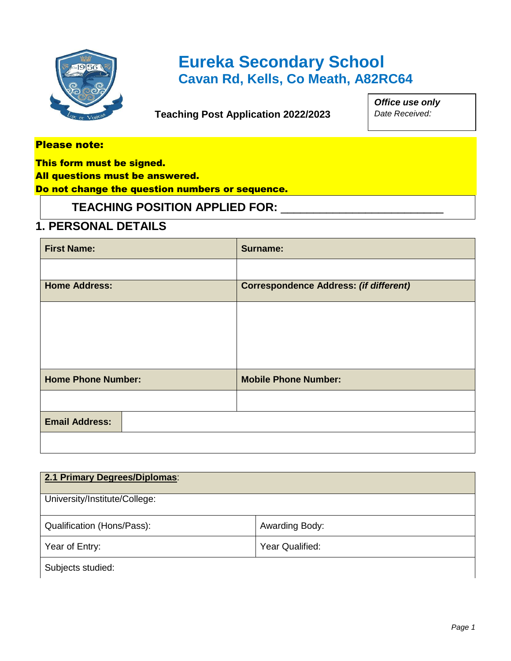

# **Eureka Secondary School Cavan Rd, Kells, Co Meath, A82RC64**

**Teaching Post Application 2022/2023**

*Office use only Date Received:* 

#### Please note:

This form must be signed. All questions must be answered. Do not change the question numbers or sequence.

### **TEACHING POSITION APPLIED FOR:** \_\_\_\_\_\_\_\_\_\_\_\_\_\_\_\_\_\_\_\_\_\_\_\_\_

### **1. PERSONAL DETAILS**

| <b>First Name:</b>        | <b>Surname:</b>                               |
|---------------------------|-----------------------------------------------|
|                           |                                               |
| <b>Home Address:</b>      | <b>Correspondence Address: (if different)</b> |
|                           |                                               |
|                           |                                               |
|                           |                                               |
| <b>Home Phone Number:</b> | <b>Mobile Phone Number:</b>                   |
|                           |                                               |
| <b>Email Address:</b>     |                                               |
|                           |                                               |

| 2.1 Primary Degrees/Diplomas: |                 |
|-------------------------------|-----------------|
| University/Institute/College: |                 |
| Qualification (Hons/Pass):    | Awarding Body:  |
| Year of Entry:                | Year Qualified: |
| Subjects studied:             |                 |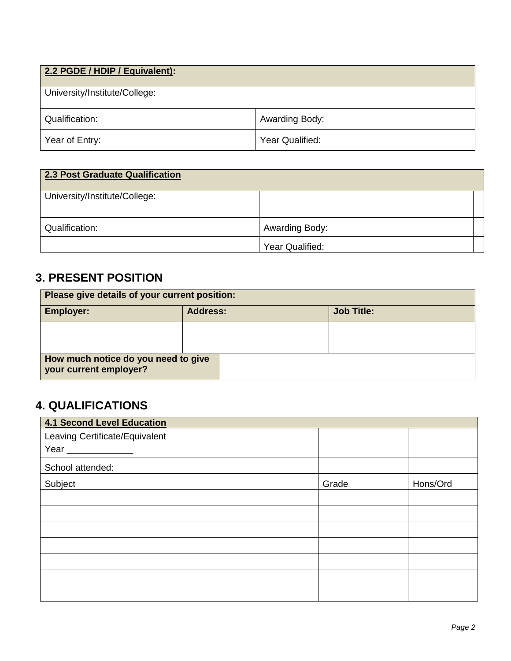| 2.2 PGDE / HDIP / Equivalent): |                 |
|--------------------------------|-----------------|
| University/Institute/College:  |                 |
| Qualification:                 | Awarding Body:  |
| Year of Entry:                 | Year Qualified: |

| <b>2.3 Post Graduate Qualification</b> |                 |
|----------------------------------------|-----------------|
| University/Institute/College:          |                 |
| Qualification:                         | Awarding Body:  |
|                                        | Year Qualified: |

### **3. PRESENT POSITION**

| Please give details of your current position:                 |                 |                   |
|---------------------------------------------------------------|-----------------|-------------------|
| Employer:                                                     | <b>Address:</b> | <b>Job Title:</b> |
|                                                               |                 |                   |
|                                                               |                 |                   |
| How much notice do you need to give<br>your current employer? |                 |                   |

## **4. QUALIFICATIONS**

| <b>4.1 Second Level Education</b> |       |          |
|-----------------------------------|-------|----------|
| Leaving Certificate/Equivalent    |       |          |
| Year                              |       |          |
| School attended:                  |       |          |
| Subject                           | Grade | Hons/Ord |
|                                   |       |          |
|                                   |       |          |
|                                   |       |          |
|                                   |       |          |
|                                   |       |          |
|                                   |       |          |
|                                   |       |          |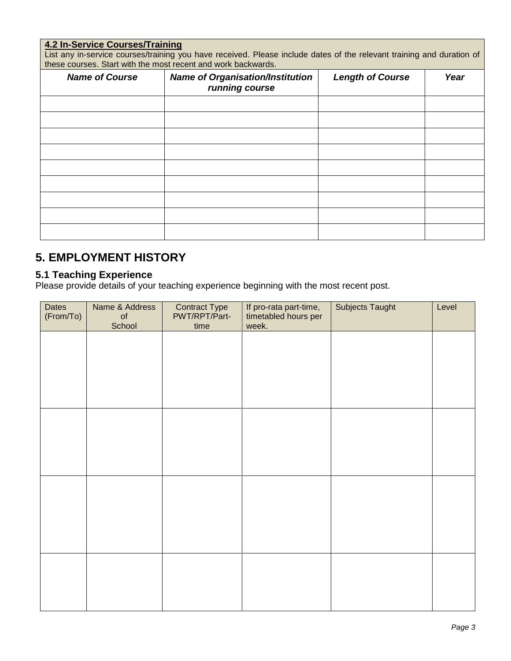#### **4.2 In-Service Courses/Training** List any in-service courses/training you have received. Please include dates of the relevant training and duration of these courses. Start with the most recent and work backwards. *Name of Course Name of Organisation/Institution running course Length of Course Year*

| <i>running course</i> |  |
|-----------------------|--|
|                       |  |
|                       |  |
|                       |  |
|                       |  |
|                       |  |
|                       |  |
|                       |  |
|                       |  |
|                       |  |

### **5. EMPLOYMENT HISTORY**

#### **5.1 Teaching Experience**

Please provide details of your teaching experience beginning with the most recent post.

| <b>Dates</b><br>(From/To) | Name & Address<br>$\mathsf{of}$<br>School | <b>Contract Type</b><br>PWT/RPT/Part-<br>time | If pro-rata part-time,<br>timetabled hours per<br>week. | <b>Subjects Taught</b> | Level |
|---------------------------|-------------------------------------------|-----------------------------------------------|---------------------------------------------------------|------------------------|-------|
|                           |                                           |                                               |                                                         |                        |       |
|                           |                                           |                                               |                                                         |                        |       |
|                           |                                           |                                               |                                                         |                        |       |
|                           |                                           |                                               |                                                         |                        |       |
|                           |                                           |                                               |                                                         |                        |       |
|                           |                                           |                                               |                                                         |                        |       |
|                           |                                           |                                               |                                                         |                        |       |
|                           |                                           |                                               |                                                         |                        |       |
|                           |                                           |                                               |                                                         |                        |       |
|                           |                                           |                                               |                                                         |                        |       |
|                           |                                           |                                               |                                                         |                        |       |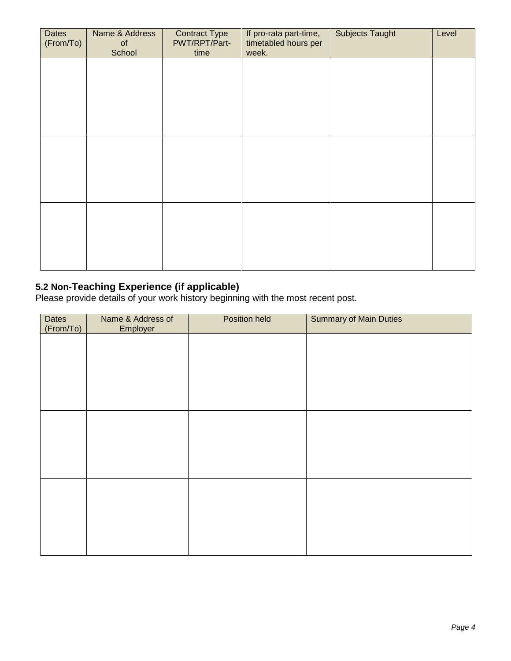| Dates<br>(From/To) | Name & Address<br>of<br>School | <b>Contract Type</b><br>PWT/RPT/Part-<br>time | If pro-rata part-time,<br>timetabled hours per<br>week. | <b>Subjects Taught</b> | Level |
|--------------------|--------------------------------|-----------------------------------------------|---------------------------------------------------------|------------------------|-------|
|                    |                                |                                               |                                                         |                        |       |
|                    |                                |                                               |                                                         |                        |       |
|                    |                                |                                               |                                                         |                        |       |
|                    |                                |                                               |                                                         |                        |       |
|                    |                                |                                               |                                                         |                        |       |
|                    |                                |                                               |                                                         |                        |       |
|                    |                                |                                               |                                                         |                        |       |

#### **5.2 Non-Teaching Experience (if applicable)**

Please provide details of your work history beginning with the most recent post.

| <b>Dates</b><br>(From/To) | Name & Address of<br>Employer | <b>Position held</b> | <b>Summary of Main Duties</b> |
|---------------------------|-------------------------------|----------------------|-------------------------------|
|                           |                               |                      |                               |
|                           |                               |                      |                               |
|                           |                               |                      |                               |
|                           |                               |                      |                               |
|                           |                               |                      |                               |
|                           |                               |                      |                               |
|                           |                               |                      |                               |
|                           |                               |                      |                               |
|                           |                               |                      |                               |
|                           |                               |                      |                               |
|                           |                               |                      |                               |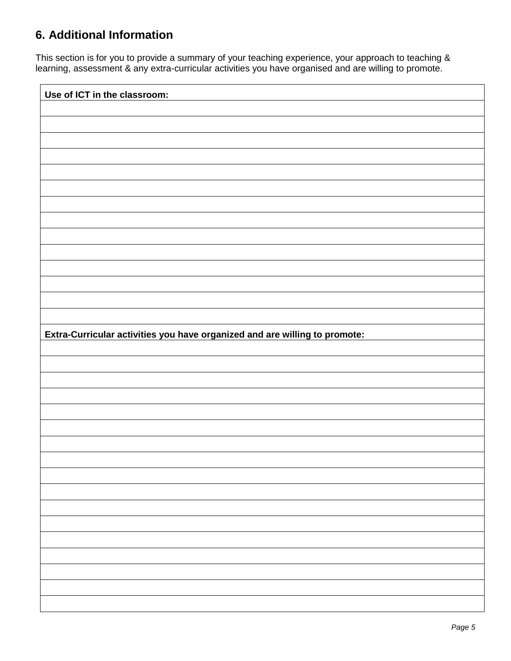## **6. Additional Information**

This section is for you to provide a summary of your teaching experience, your approach to teaching & learning, assessment & any extra-curricular activities you have organised and are willing to promote.

| Use of ICT in the classroom:                                               |
|----------------------------------------------------------------------------|
|                                                                            |
|                                                                            |
|                                                                            |
|                                                                            |
|                                                                            |
|                                                                            |
|                                                                            |
|                                                                            |
|                                                                            |
|                                                                            |
|                                                                            |
|                                                                            |
|                                                                            |
|                                                                            |
| Extra-Curricular activities you have organized and are willing to promote: |
|                                                                            |
|                                                                            |
|                                                                            |
|                                                                            |
|                                                                            |
|                                                                            |
|                                                                            |
|                                                                            |
|                                                                            |
|                                                                            |
|                                                                            |
|                                                                            |
|                                                                            |
|                                                                            |
|                                                                            |
|                                                                            |
|                                                                            |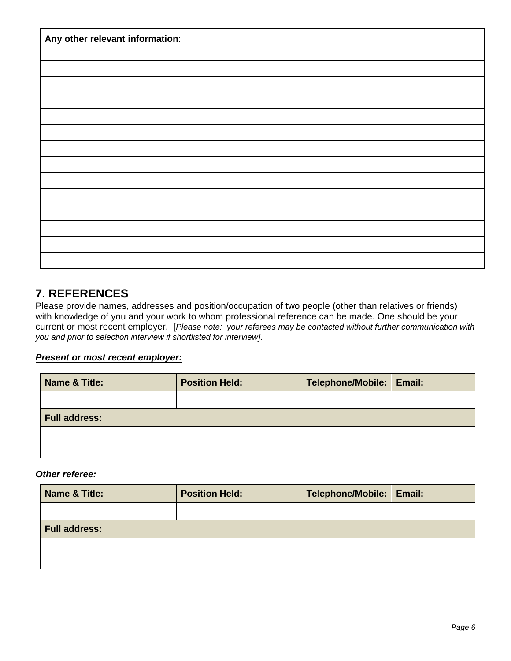| Any other relevant information: |
|---------------------------------|
|                                 |
|                                 |
|                                 |
|                                 |
|                                 |
|                                 |
|                                 |
|                                 |
|                                 |
|                                 |
|                                 |
|                                 |
|                                 |
|                                 |

### **7. REFERENCES**

Please provide names, addresses and position/occupation of two people (other than relatives or friends) with knowledge of you and your work to whom professional reference can be made. One should be your current or most recent employer. [*Please note: your referees may be contacted without further communication with you and prior to selection interview if shortlisted for interview]*.

#### *Present or most recent employer:*

| Name & Title:        | <b>Position Held:</b> | Telephone/Mobile:   Email: |  |
|----------------------|-----------------------|----------------------------|--|
|                      |                       |                            |  |
| <b>Full address:</b> |                       |                            |  |
|                      |                       |                            |  |
|                      |                       |                            |  |

#### *Other referee:*

| Name & Title:        | <b>Position Held:</b> | Telephone/Mobile: Email: |  |  |  |
|----------------------|-----------------------|--------------------------|--|--|--|
|                      |                       |                          |  |  |  |
| <b>Full address:</b> |                       |                          |  |  |  |
|                      |                       |                          |  |  |  |
|                      |                       |                          |  |  |  |